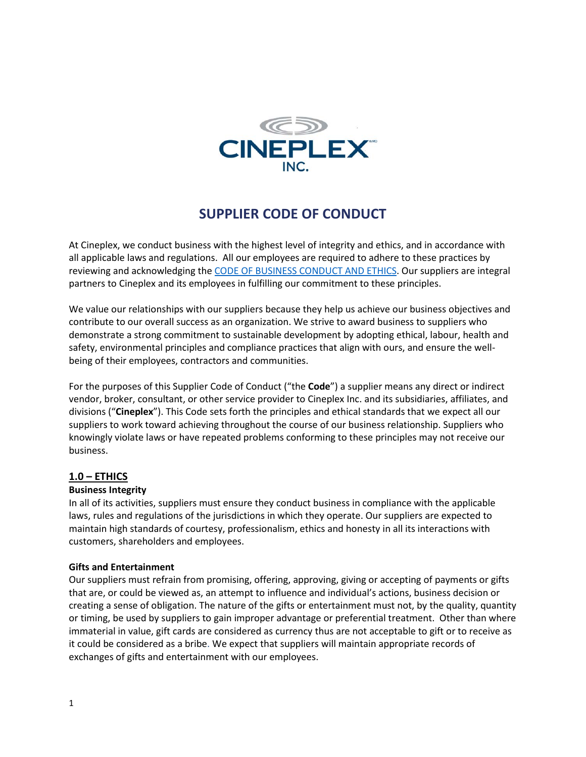

# **SUPPLIER CODE OF CONDUCT**

At Cineplex, we conduct business with the highest level of integrity and ethics, and in accordance with all applicable laws and regulations. All our employees are required to adhere to these practices by reviewing and acknowledging the [CODE OF BUSINESS CONDUCT AND ETHICS.](https://mediafiles.cineplex.com/Corporate/Information/2018/Code%20of%20Business%20Conduct%20and%20Ethics%20May%202018.pdf) Our suppliers are integral partners to Cineplex and its employees in fulfilling our commitment to these principles.

We value our relationships with our suppliers because they help us achieve our business objectives and contribute to our overall success as an organization. We strive to award business to suppliers who demonstrate a strong commitment to sustainable development by adopting ethical, labour, health and safety, environmental principles and compliance practices that align with ours, and ensure the wellbeing of their employees, contractors and communities.

For the purposes of this Supplier Code of Conduct ("the **Code**") a supplier means any direct or indirect vendor, broker, consultant, or other service provider to Cineplex Inc. and its subsidiaries, affiliates, and divisions ("**Cineplex**"). This Code sets forth the principles and ethical standards that we expect all our suppliers to work toward achieving throughout the course of our business relationship. Suppliers who knowingly violate laws or have repeated problems conforming to these principles may not receive our business.

## **1.0 – ETHICS**

## **Business Integrity**

In all of its activities, suppliers must ensure they conduct business in compliance with the applicable laws, rules and regulations of the jurisdictions in which they operate. Our suppliers are expected to maintain high standards of courtesy, professionalism, ethics and honesty in all its interactions with customers, shareholders and employees.

## **Gifts and Entertainment**

Our suppliers must refrain from promising, offering, approving, giving or accepting of payments or gifts that are, or could be viewed as, an attempt to influence and individual's actions, business decision or creating a sense of obligation. The nature of the gifts or entertainment must not, by the quality, quantity or timing, be used by suppliers to gain improper advantage or preferential treatment. Other than where immaterial in value, gift cards are considered as currency thus are not acceptable to gift or to receive as it could be considered as a bribe. We expect that suppliers will maintain appropriate records of exchanges of gifts and entertainment with our employees.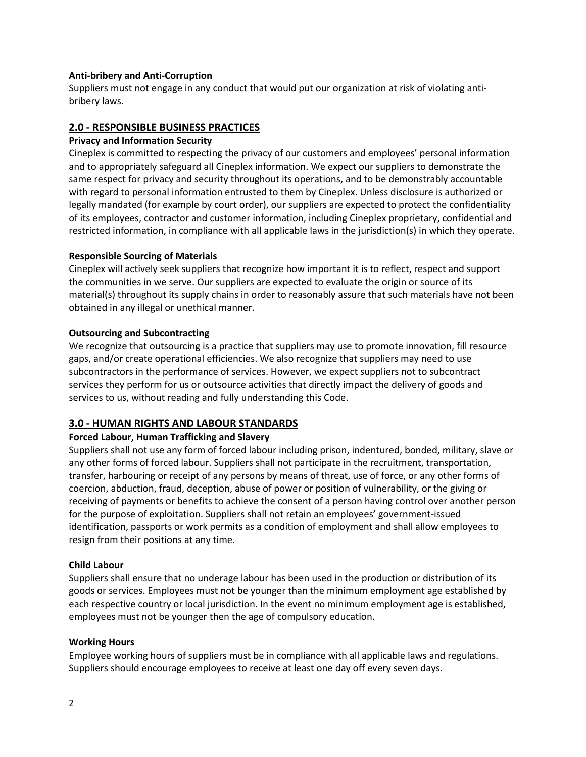## **Anti-bribery and Anti-Corruption**

Suppliers must not engage in any conduct that would put our organization at risk of violating antibribery laws.

## **2.0 - RESPONSIBLE BUSINESS PRACTICES**

## **Privacy and Information Security**

Cineplex is committed to respecting the privacy of our customers and employees' personal information and to appropriately safeguard all Cineplex information. We expect our suppliers to demonstrate the same respect for privacy and security throughout its operations, and to be demonstrably accountable with regard to personal information entrusted to them by Cineplex. Unless disclosure is authorized or legally mandated (for example by court order), our suppliers are expected to protect the confidentiality of its employees, contractor and customer information, including Cineplex proprietary, confidential and restricted information, in compliance with all applicable laws in the jurisdiction(s) in which they operate.

## **Responsible Sourcing of Materials**

Cineplex will actively seek suppliers that recognize how important it is to reflect, respect and support the communities in we serve. Our suppliers are expected to evaluate the origin or source of its material(s) throughout its supply chains in order to reasonably assure that such materials have not been obtained in any illegal or unethical manner.

## **Outsourcing and Subcontracting**

We recognize that outsourcing is a practice that suppliers may use to promote innovation, fill resource gaps, and/or create operational efficiencies. We also recognize that suppliers may need to use subcontractors in the performance of services. However, we expect suppliers not to subcontract services they perform for us or outsource activities that directly impact the delivery of goods and services to us, without reading and fully understanding this Code.

# **3.0 - HUMAN RIGHTS AND LABOUR STANDARDS**

## **Forced Labour, Human Trafficking and Slavery**

Suppliers shall not use any form of forced labour including prison, indentured, bonded, military, slave or any other forms of forced labour. Suppliers shall not participate in the recruitment, transportation, transfer, harbouring or receipt of any persons by means of threat, use of force, or any other forms of coercion, abduction, fraud, deception, abuse of power or position of vulnerability, or the giving or receiving of payments or benefits to achieve the consent of a person having control over another person for the purpose of exploitation. Suppliers shall not retain an employees' government-issued identification, passports or work permits as a condition of employment and shall allow employees to resign from their positions at any time.

## **Child Labour**

Suppliers shall ensure that no underage labour has been used in the production or distribution of its goods or services. Employees must not be younger than the minimum employment age established by each respective country or local jurisdiction. In the event no minimum employment age is established, employees must not be younger then the age of compulsory education.

## **Working Hours**

Employee working hours of suppliers must be in compliance with all applicable laws and regulations. Suppliers should encourage employees to receive at least one day off every seven days.